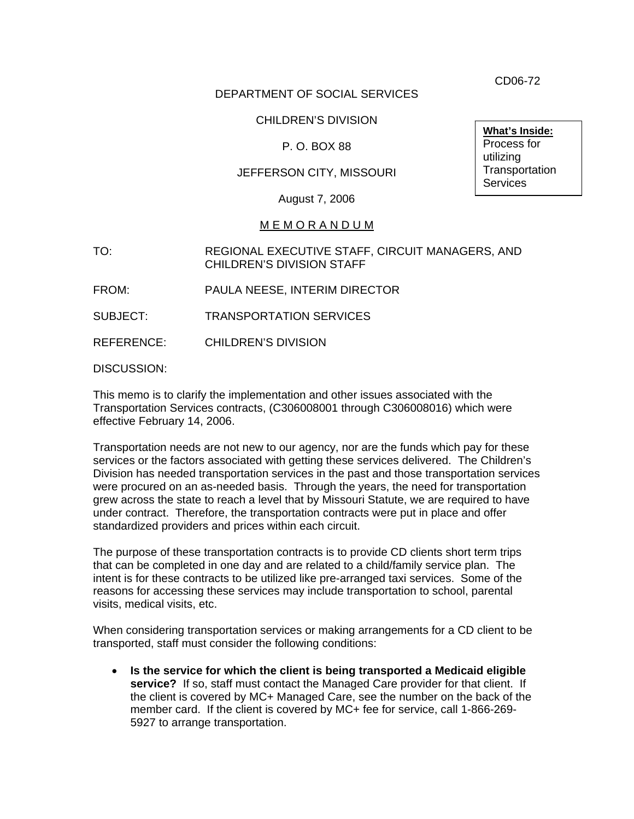DEPARTMENT OF SOCIAL SERVICES

# CHILDREN'S DIVISION

# P. O. BOX 88

# JEFFERSON CITY, MISSOURI

August 7, 2006

## M E M O R A N D U M

TO: REGIONAL EXECUTIVE STAFF, CIRCUIT MANAGERS, AND CHILDREN'S DIVISION STAFF

FROM: PAULA NEESE, INTERIM DIRECTOR

SUBJECT: TRANSPORTATION SERVICES

REFERENCE: CHILDREN'S DIVISION

DISCUSSION:

This memo is to clarify the implementation and other issues associated with the Transportation Services contracts, (C306008001 through C306008016) which were effective February 14, 2006.

Transportation needs are not new to our agency, nor are the funds which pay for these services or the factors associated with getting these services delivered. The Children's Division has needed transportation services in the past and those transportation services were procured on an as-needed basis. Through the years, the need for transportation grew across the state to reach a level that by Missouri Statute, we are required to have under contract. Therefore, the transportation contracts were put in place and offer standardized providers and prices within each circuit.

The purpose of these transportation contracts is to provide CD clients short term trips that can be completed in one day and are related to a child/family service plan. The intent is for these contracts to be utilized like pre-arranged taxi services. Some of the reasons for accessing these services may include transportation to school, parental visits, medical visits, etc.

When considering transportation services or making arrangements for a CD client to be transported, staff must consider the following conditions:

• **Is the service for which the client is being transported a Medicaid eligible service?** If so, staff must contact the Managed Care provider for that client. If the client is covered by MC+ Managed Care, see the number on the back of the member card. If the client is covered by MC+ fee for service, call 1-866-269- 5927 to arrange transportation.

CD06-72

**What's Inside:** Process for utilizing **Transportation Services**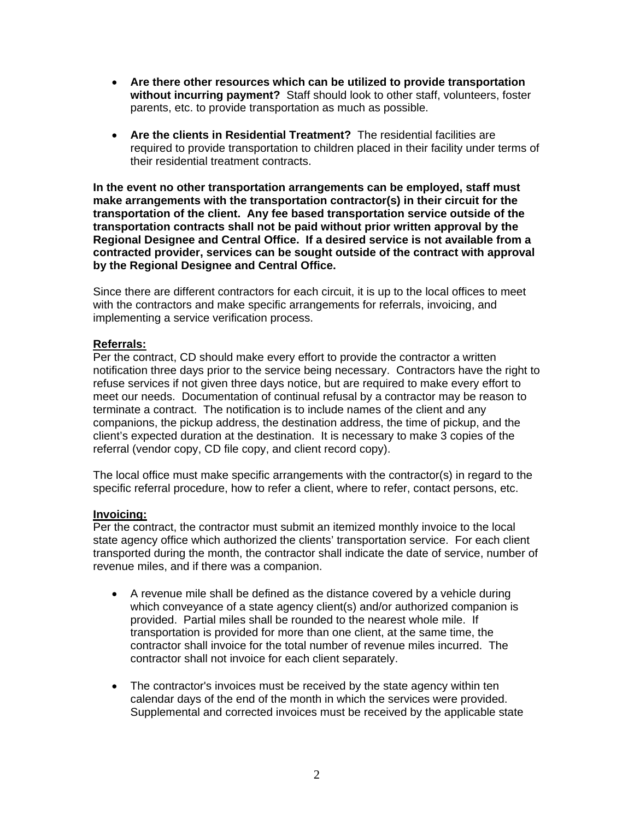- **Are there other resources which can be utilized to provide transportation without incurring payment?** Staff should look to other staff, volunteers, foster parents, etc. to provide transportation as much as possible.
- **Are the clients in Residential Treatment?** The residential facilities are required to provide transportation to children placed in their facility under terms of their residential treatment contracts.

**In the event no other transportation arrangements can be employed, staff must make arrangements with the transportation contractor(s) in their circuit for the transportation of the client. Any fee based transportation service outside of the transportation contracts shall not be paid without prior written approval by the Regional Designee and Central Office. If a desired service is not available from a contracted provider, services can be sought outside of the contract with approval by the Regional Designee and Central Office.** 

Since there are different contractors for each circuit, it is up to the local offices to meet with the contractors and make specific arrangements for referrals, invoicing, and implementing a service verification process.

## **Referrals:**

Per the contract, CD should make every effort to provide the contractor a written notification three days prior to the service being necessary. Contractors have the right to refuse services if not given three days notice, but are required to make every effort to meet our needs. Documentation of continual refusal by a contractor may be reason to terminate a contract. The notification is to include names of the client and any companions, the pickup address, the destination address, the time of pickup, and the client's expected duration at the destination. It is necessary to make 3 copies of the referral (vendor copy, CD file copy, and client record copy).

The local office must make specific arrangements with the contractor(s) in regard to the specific referral procedure, how to refer a client, where to refer, contact persons, etc.

#### **Invoicing:**

Per the contract, the contractor must submit an itemized monthly invoice to the local state agency office which authorized the clients' transportation service. For each client transported during the month, the contractor shall indicate the date of service, number of revenue miles, and if there was a companion.

- A revenue mile shall be defined as the distance covered by a vehicle during which conveyance of a state agency client(s) and/or authorized companion is provided. Partial miles shall be rounded to the nearest whole mile. If transportation is provided for more than one client, at the same time, the contractor shall invoice for the total number of revenue miles incurred. The contractor shall not invoice for each client separately.
- The contractor's invoices must be received by the state agency within ten calendar days of the end of the month in which the services were provided. Supplemental and corrected invoices must be received by the applicable state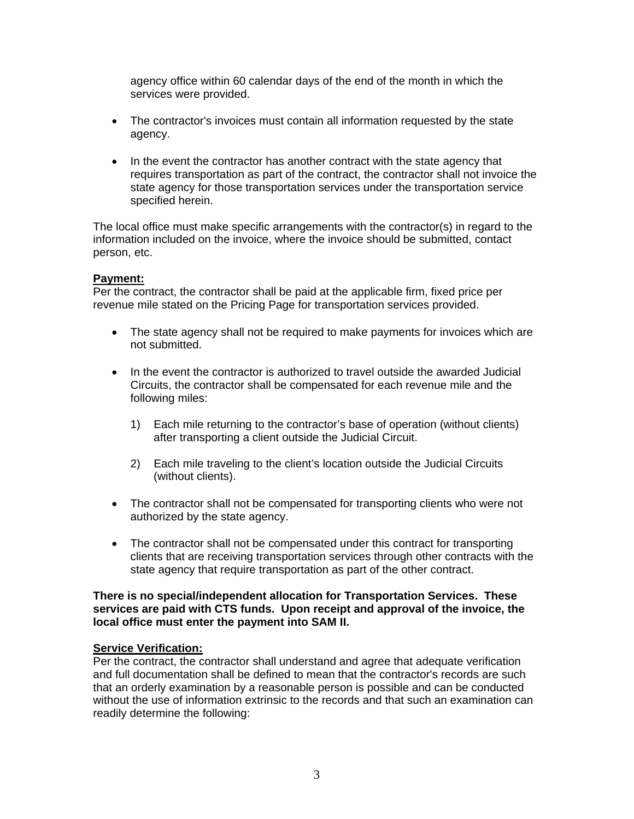agency office within 60 calendar days of the end of the month in which the services were provided.

- The contractor's invoices must contain all information requested by the state agency.
- In the event the contractor has another contract with the state agency that requires transportation as part of the contract, the contractor shall not invoice the state agency for those transportation services under the transportation service specified herein.

The local office must make specific arrangements with the contractor(s) in regard to the information included on the invoice, where the invoice should be submitted, contact person, etc.

## **Payment:**

Per the contract, the contractor shall be paid at the applicable firm, fixed price per revenue mile stated on the Pricing Page for transportation services provided.

- The state agency shall not be required to make payments for invoices which are not submitted.
- In the event the contractor is authorized to travel outside the awarded Judicial Circuits, the contractor shall be compensated for each revenue mile and the following miles:
	- 1) Each mile returning to the contractor's base of operation (without clients) after transporting a client outside the Judicial Circuit.
	- 2) Each mile traveling to the client's location outside the Judicial Circuits (without clients).
- The contractor shall not be compensated for transporting clients who were not authorized by the state agency.
- The contractor shall not be compensated under this contract for transporting clients that are receiving transportation services through other contracts with the state agency that require transportation as part of the other contract.

#### **There is no special/independent allocation for Transportation Services. These services are paid with CTS funds. Upon receipt and approval of the invoice, the local office must enter the payment into SAM II.**

#### **Service Verification:**

Per the contract, the contractor shall understand and agree that adequate verification and full documentation shall be defined to mean that the contractor's records are such that an orderly examination by a reasonable person is possible and can be conducted without the use of information extrinsic to the records and that such an examination can readily determine the following: